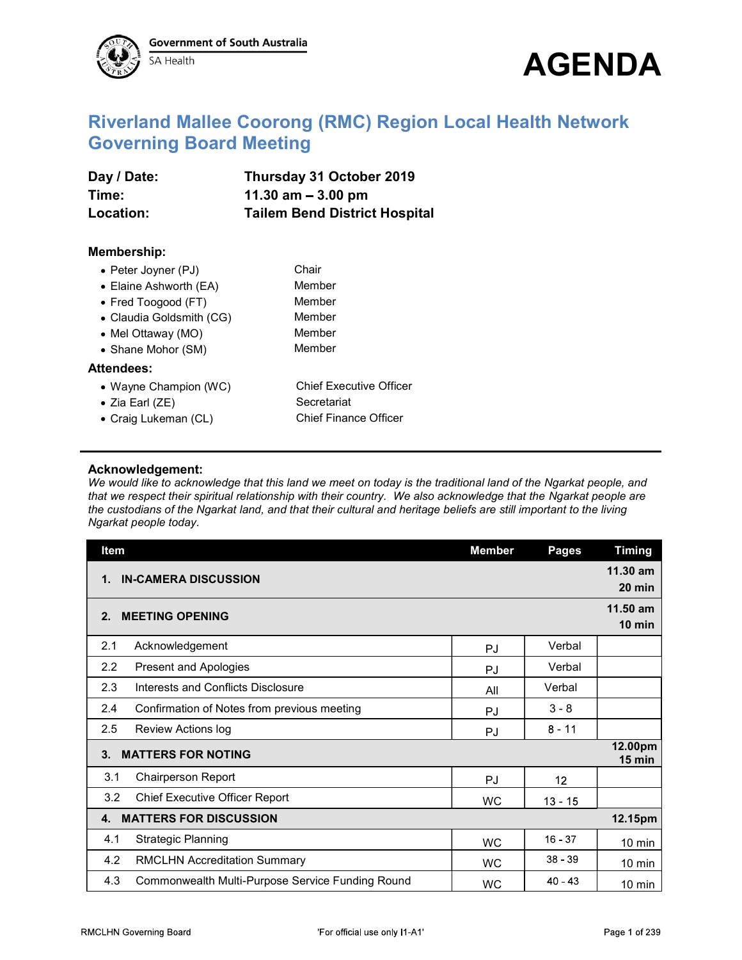



## So Health<br>Riverland Mallee Coorong (RMC) Region Local Health Network<br>Governing Board Meeting<br>Day / Date: Thursday 31 October 2019<br>Time: 11.30 am – 3.00 pm Governing Board Meeting Sovernment of South Australia<br>
Riverland Mallee Coorong (RMC) Region Local Health Network<br>
Governing Board Meeting<br>
Day / Date: Thursday 31 October 2019<br>
Time: 11.30 am – 3.00 pm<br>
Location: Tailem Bend District Hospital<br>
M Sovernment of South Australia<br>
The SA Health<br>
Riverland Mallee Coorong (RMC) Region Local Health Network<br>
Governing Board Meeting<br>
Day / Date: Thursday 31 October 2019<br>
Time: 11.30 am – 3.00 pm<br>
Location: Tailem Bend Distr Sovernment of South Australia<br>
Riverland Mallee Coorong (RMC) Region Local Health Network<br>
Governing Board Meeting<br>
Day / Date: Thursday 31 October 2019<br>
Time: 11.30 am – 3.00 pm<br>
Location: Tailem Bend District Hospital<br>

| Day / Date: | Thursday 31 October 2019             |
|-------------|--------------------------------------|
| Time:       | 11.30 $am - 3.00$ pm                 |
| Location:   | <b>Tailem Bend District Hospital</b> |

## Membership:

| <b>Riverland Mallee Coorong (RMC) Region Local Health Network</b><br><b>Governing Board Meeting</b><br>Day / Date:<br>Thursday 31 October 2019<br>11.30 $am - 3.00 pm$<br>Time:<br><b>Tailem Bend District Hospital</b><br><b>Location:</b><br><b>Membership:</b><br>Chair<br>• Peter Joyner (PJ)<br>• Elaine Ashworth (EA)<br>Member<br>• Fred Toogood (FT)<br>Member<br>• Claudia Goldsmith (CG)<br>Member<br>Member<br>• Mel Ottaway (MO)<br>Member<br>• Shane Mohor (SM)<br>Attendees:<br><b>Chief Executive Officer</b><br>• Wayne Champion (WC)<br>Secretariat<br>• Zia Earl (ZE)<br><b>Chief Finance Officer</b><br>• Craig Lukeman (CL) | SA Health | <b>AGENDA</b>                 |
|-------------------------------------------------------------------------------------------------------------------------------------------------------------------------------------------------------------------------------------------------------------------------------------------------------------------------------------------------------------------------------------------------------------------------------------------------------------------------------------------------------------------------------------------------------------------------------------------------------------------------------------------------|-----------|-------------------------------|
|                                                                                                                                                                                                                                                                                                                                                                                                                                                                                                                                                                                                                                                 |           |                               |
|                                                                                                                                                                                                                                                                                                                                                                                                                                                                                                                                                                                                                                                 |           |                               |
|                                                                                                                                                                                                                                                                                                                                                                                                                                                                                                                                                                                                                                                 |           |                               |
|                                                                                                                                                                                                                                                                                                                                                                                                                                                                                                                                                                                                                                                 |           |                               |
|                                                                                                                                                                                                                                                                                                                                                                                                                                                                                                                                                                                                                                                 |           |                               |
|                                                                                                                                                                                                                                                                                                                                                                                                                                                                                                                                                                                                                                                 |           |                               |
|                                                                                                                                                                                                                                                                                                                                                                                                                                                                                                                                                                                                                                                 |           |                               |
|                                                                                                                                                                                                                                                                                                                                                                                                                                                                                                                                                                                                                                                 |           |                               |
|                                                                                                                                                                                                                                                                                                                                                                                                                                                                                                                                                                                                                                                 |           |                               |
|                                                                                                                                                                                                                                                                                                                                                                                                                                                                                                                                                                                                                                                 |           |                               |
|                                                                                                                                                                                                                                                                                                                                                                                                                                                                                                                                                                                                                                                 |           |                               |
|                                                                                                                                                                                                                                                                                                                                                                                                                                                                                                                                                                                                                                                 |           |                               |
|                                                                                                                                                                                                                                                                                                                                                                                                                                                                                                                                                                                                                                                 |           |                               |
|                                                                                                                                                                                                                                                                                                                                                                                                                                                                                                                                                                                                                                                 |           |                               |
|                                                                                                                                                                                                                                                                                                                                                                                                                                                                                                                                                                                                                                                 |           |                               |
|                                                                                                                                                                                                                                                                                                                                                                                                                                                                                                                                                                                                                                                 |           |                               |
|                                                                                                                                                                                                                                                                                                                                                                                                                                                                                                                                                                                                                                                 |           |                               |
| Acknowledgement:                                                                                                                                                                                                                                                                                                                                                                                                                                                                                                                                                                                                                                |           |                               |
| We would like to acknowledge that this land we meet on today is the traditional land of the Ngarkat people, and<br>that we respect their spiritual relationship with their country. We also acknowledge that the Ngarkat people are                                                                                                                                                                                                                                                                                                                                                                                                             |           |                               |
| the custodians of the Ngarkat land, and that their cultural and heritage beliefs are still important to the living<br>Ngarkat people today.                                                                                                                                                                                                                                                                                                                                                                                                                                                                                                     | Item      | <b>Timing</b><br><b>Pages</b> |
| <b>Member</b>                                                                                                                                                                                                                                                                                                                                                                                                                                                                                                                                                                                                                                   |           | 11.30 am                      |
| 1. IN-CAMERA DISCUSSION                                                                                                                                                                                                                                                                                                                                                                                                                                                                                                                                                                                                                         |           | 20 min                        |

## Acknowledgement:

| • Peter Joyner (PJ)                                | Chair                                                                                                                                                                                                                                                                                                                                                     |               |              |                     |
|----------------------------------------------------|-----------------------------------------------------------------------------------------------------------------------------------------------------------------------------------------------------------------------------------------------------------------------------------------------------------------------------------------------------------|---------------|--------------|---------------------|
| • Elaine Ashworth (EA)                             | Member<br>Member                                                                                                                                                                                                                                                                                                                                          |               |              |                     |
| • Fred Toogood (FT)<br>• Claudia Goldsmith (CG)    | Member                                                                                                                                                                                                                                                                                                                                                    |               |              |                     |
| • Mel Ottaway (MO)                                 | Member                                                                                                                                                                                                                                                                                                                                                    |               |              |                     |
| • Shane Mohor (SM)                                 | Member                                                                                                                                                                                                                                                                                                                                                    |               |              |                     |
| <b>Attendees:</b>                                  |                                                                                                                                                                                                                                                                                                                                                           |               |              |                     |
| • Wayne Champion (WC)                              | <b>Chief Executive Officer</b>                                                                                                                                                                                                                                                                                                                            |               |              |                     |
| $\bullet$ Zia Earl (ZE)                            | Secretariat                                                                                                                                                                                                                                                                                                                                               |               |              |                     |
| • Craig Lukeman (CL)                               | <b>Chief Finance Officer</b>                                                                                                                                                                                                                                                                                                                              |               |              |                     |
| Acknowledgement:                                   | We would like to acknowledge that this land we meet on today is the traditional land of the Ngarkat people, and<br>that we respect their spiritual relationship with their country. We also acknowledge that the Ngarkat people are<br>the custodians of the Ngarkat land, and that their cultural and heritage beliefs are still important to the living |               |              |                     |
| Ngarkat people today.<br>Item                      |                                                                                                                                                                                                                                                                                                                                                           | <b>Member</b> | <b>Pages</b> | <b>Timing</b>       |
|                                                    |                                                                                                                                                                                                                                                                                                                                                           |               |              | 11.30 am            |
| 1. IN-CAMERA DISCUSSION                            |                                                                                                                                                                                                                                                                                                                                                           |               |              | $20$ min            |
|                                                    |                                                                                                                                                                                                                                                                                                                                                           |               |              | 11.50 am            |
| 2. MEETING OPENING                                 |                                                                                                                                                                                                                                                                                                                                                           |               |              | 10 min              |
| Acknowledgement<br>2.1                             |                                                                                                                                                                                                                                                                                                                                                           | PJ            | Verbal       |                     |
| 2.2<br><b>Present and Apologies</b>                |                                                                                                                                                                                                                                                                                                                                                           | PJ            | Verbal       |                     |
| Interests and Conflicts Disclosure<br>2.3          |                                                                                                                                                                                                                                                                                                                                                           | All           | Verbal       |                     |
| 2.4<br>Confirmation of Notes from previous meeting |                                                                                                                                                                                                                                                                                                                                                           | PJ            | $3 - 8$      |                     |
| 2.5<br>Review Actions log                          |                                                                                                                                                                                                                                                                                                                                                           | PJ            | $8 - 11$     |                     |
| 3. MATTERS FOR NOTING                              |                                                                                                                                                                                                                                                                                                                                                           |               |              | 12.00pm<br>$15$ min |
| 3.1<br><b>Chairperson Report</b>                   |                                                                                                                                                                                                                                                                                                                                                           | PJ            | 12           |                     |
| 3.2<br><b>Chief Executive Officer Report</b>       |                                                                                                                                                                                                                                                                                                                                                           | <b>WC</b>     | $13 - 15$    |                     |
| 4. MATTERS FOR DISCUSSION                          |                                                                                                                                                                                                                                                                                                                                                           |               |              | 12.15pm             |
| <b>Strategic Planning</b><br>4.1                   |                                                                                                                                                                                                                                                                                                                                                           | <b>WC</b>     | $16 - 37$    | $10 \text{ min}$    |
| <b>RMCLHN Accreditation Summary</b><br>4.2         |                                                                                                                                                                                                                                                                                                                                                           | <b>WC</b>     | $38 - 39$    | $10 \text{ min}$    |
| 4.3                                                | Commonwealth Multi-Purpose Service Funding Round                                                                                                                                                                                                                                                                                                          | WC            | $40 - 43$    | $10 \text{ min}$    |
| MCLHN Governing Board                              | 'For official use only I1-A1'                                                                                                                                                                                                                                                                                                                             |               |              | Page 1 of 239       |